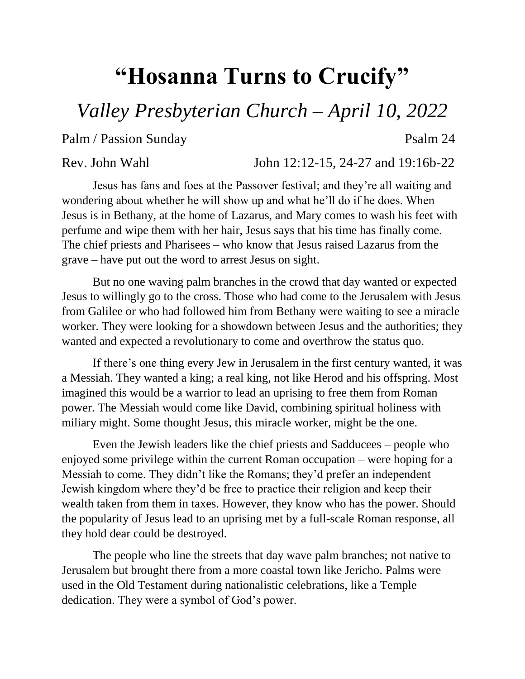## **"Hosanna Turns to Crucify"**

*Valley Presbyterian Church – April 10, 2022*

Palm / Passion Sunday Psalm 24

Rev. John Wahl John 12:12-15, 24-27 and 19:16b-22

Jesus has fans and foes at the Passover festival; and they're all waiting and wondering about whether he will show up and what he'll do if he does. When Jesus is in Bethany, at the home of Lazarus, and Mary comes to wash his feet with perfume and wipe them with her hair, Jesus says that his time has finally come. The chief priests and Pharisees – who know that Jesus raised Lazarus from the grave – have put out the word to arrest Jesus on sight.

But no one waving palm branches in the crowd that day wanted or expected Jesus to willingly go to the cross. Those who had come to the Jerusalem with Jesus from Galilee or who had followed him from Bethany were waiting to see a miracle worker. They were looking for a showdown between Jesus and the authorities; they wanted and expected a revolutionary to come and overthrow the status quo.

If there's one thing every Jew in Jerusalem in the first century wanted, it was a Messiah. They wanted a king; a real king, not like Herod and his offspring. Most imagined this would be a warrior to lead an uprising to free them from Roman power. The Messiah would come like David, combining spiritual holiness with miliary might. Some thought Jesus, this miracle worker, might be the one.

Even the Jewish leaders like the chief priests and Sadducees – people who enjoyed some privilege within the current Roman occupation – were hoping for a Messiah to come. They didn't like the Romans; they'd prefer an independent Jewish kingdom where they'd be free to practice their religion and keep their wealth taken from them in taxes. However, they know who has the power. Should the popularity of Jesus lead to an uprising met by a full-scale Roman response, all they hold dear could be destroyed.

The people who line the streets that day wave palm branches; not native to Jerusalem but brought there from a more coastal town like Jericho. Palms were used in the Old Testament during nationalistic celebrations, like a Temple dedication. They were a symbol of God's power.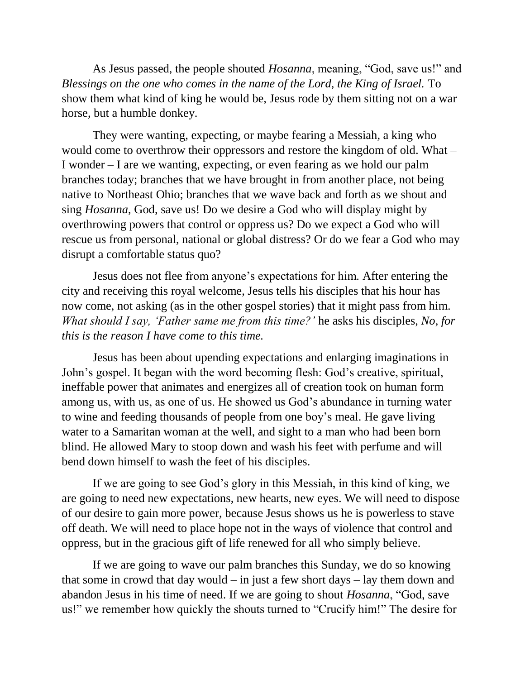As Jesus passed, the people shouted *Hosanna*, meaning, "God, save us!" and *Blessings on the one who comes in the name of the Lord, the King of Israel.* To show them what kind of king he would be, Jesus rode by them sitting not on a war horse, but a humble donkey.

They were wanting, expecting, or maybe fearing a Messiah, a king who would come to overthrow their oppressors and restore the kingdom of old. What – I wonder – I are we wanting, expecting, or even fearing as we hold our palm branches today; branches that we have brought in from another place, not being native to Northeast Ohio; branches that we wave back and forth as we shout and sing *Hosanna*, God, save us! Do we desire a God who will display might by overthrowing powers that control or oppress us? Do we expect a God who will rescue us from personal, national or global distress? Or do we fear a God who may disrupt a comfortable status quo?

Jesus does not flee from anyone's expectations for him. After entering the city and receiving this royal welcome, Jesus tells his disciples that his hour has now come, not asking (as in the other gospel stories) that it might pass from him. *What should I say, 'Father same me from this time?'* he asks his disciples, *No, for this is the reason I have come to this time.*

Jesus has been about upending expectations and enlarging imaginations in John's gospel. It began with the word becoming flesh: God's creative, spiritual, ineffable power that animates and energizes all of creation took on human form among us, with us, as one of us. He showed us God's abundance in turning water to wine and feeding thousands of people from one boy's meal. He gave living water to a Samaritan woman at the well, and sight to a man who had been born blind. He allowed Mary to stoop down and wash his feet with perfume and will bend down himself to wash the feet of his disciples.

If we are going to see God's glory in this Messiah, in this kind of king, we are going to need new expectations, new hearts, new eyes. We will need to dispose of our desire to gain more power, because Jesus shows us he is powerless to stave off death. We will need to place hope not in the ways of violence that control and oppress, but in the gracious gift of life renewed for all who simply believe.

If we are going to wave our palm branches this Sunday, we do so knowing that some in crowd that day would  $-$  in just a few short days  $-$  lay them down and abandon Jesus in his time of need. If we are going to shout *Hosanna*, "God, save us!" we remember how quickly the shouts turned to "Crucify him!" The desire for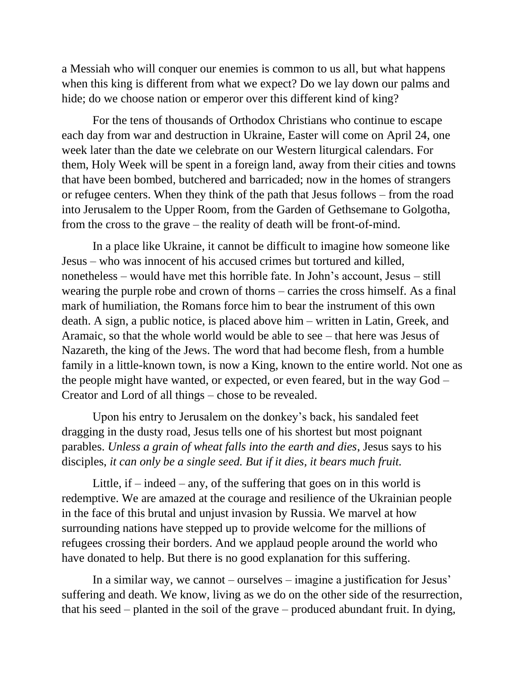a Messiah who will conquer our enemies is common to us all, but what happens when this king is different from what we expect? Do we lay down our palms and hide; do we choose nation or emperor over this different kind of king?

For the tens of thousands of Orthodox Christians who continue to escape each day from war and destruction in Ukraine, Easter will come on April 24, one week later than the date we celebrate on our Western liturgical calendars. For them, Holy Week will be spent in a foreign land, away from their cities and towns that have been bombed, butchered and barricaded; now in the homes of strangers or refugee centers. When they think of the path that Jesus follows – from the road into Jerusalem to the Upper Room, from the Garden of Gethsemane to Golgotha, from the cross to the grave – the reality of death will be front-of-mind.

In a place like Ukraine, it cannot be difficult to imagine how someone like Jesus – who was innocent of his accused crimes but tortured and killed, nonetheless – would have met this horrible fate. In John's account, Jesus – still wearing the purple robe and crown of thorns – carries the cross himself. As a final mark of humiliation, the Romans force him to bear the instrument of this own death. A sign, a public notice, is placed above him – written in Latin, Greek, and Aramaic, so that the whole world would be able to see – that here was Jesus of Nazareth, the king of the Jews. The word that had become flesh, from a humble family in a little-known town, is now a King, known to the entire world. Not one as the people might have wanted, or expected, or even feared, but in the way God – Creator and Lord of all things – chose to be revealed.

Upon his entry to Jerusalem on the donkey's back, his sandaled feet dragging in the dusty road, Jesus tells one of his shortest but most poignant parables. *Unless a grain of wheat falls into the earth and dies*, Jesus says to his disciples, *it can only be a single seed. But if it dies, it bears much fruit.*

Little, if  $-$  indeed  $-$  any, of the suffering that goes on in this world is redemptive. We are amazed at the courage and resilience of the Ukrainian people in the face of this brutal and unjust invasion by Russia. We marvel at how surrounding nations have stepped up to provide welcome for the millions of refugees crossing their borders. And we applaud people around the world who have donated to help. But there is no good explanation for this suffering.

In a similar way, we cannot – ourselves – imagine a justification for Jesus' suffering and death. We know, living as we do on the other side of the resurrection, that his seed – planted in the soil of the grave – produced abundant fruit. In dying,